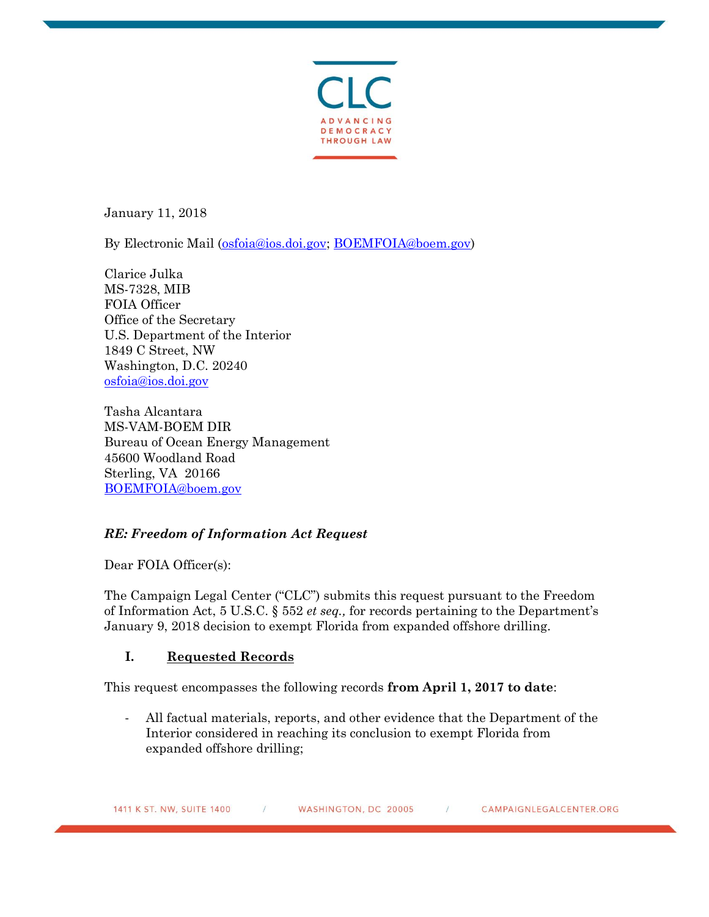

January 11, 2018

By Electronic Mail [\(osfoia@ios.doi.gov;](mailto:osfoia@ios.doi.gov) [BOEMFOIA@boem.gov\)](mailto:BOEMFOIA@boem.gov)

Clarice Julka MS-7328, MIB FOIA Officer Office of the Secretary U.S. Department of the Interior 1849 C Street, NW Washington, D.C. 20240 [osfoia@ios.doi.gov](mailto:osfoia@ios.doi.gov)

Tasha Alcantara MS-VAM-BOEM DIR Bureau of Ocean Energy Management 45600 Woodland Road Sterling, VA 20166 [BOEMFOIA@boem.gov](mailto:BOEMFOIA@boem.gov)

## *RE: Freedom of Information Act Request*

Dear FOIA Officer(s):

The Campaign Legal Center ("CLC") submits this request pursuant to the Freedom of Information Act, 5 U.S.C. § 552 *et seq.,* for records pertaining to the Department's January 9, 2018 decision to exempt Florida from expanded offshore drilling.

## **I. Requested Records**

This request encompasses the following records **from April 1, 2017 to date**:

- All factual materials, reports, and other evidence that the Department of the Interior considered in reaching its conclusion to exempt Florida from expanded offshore drilling;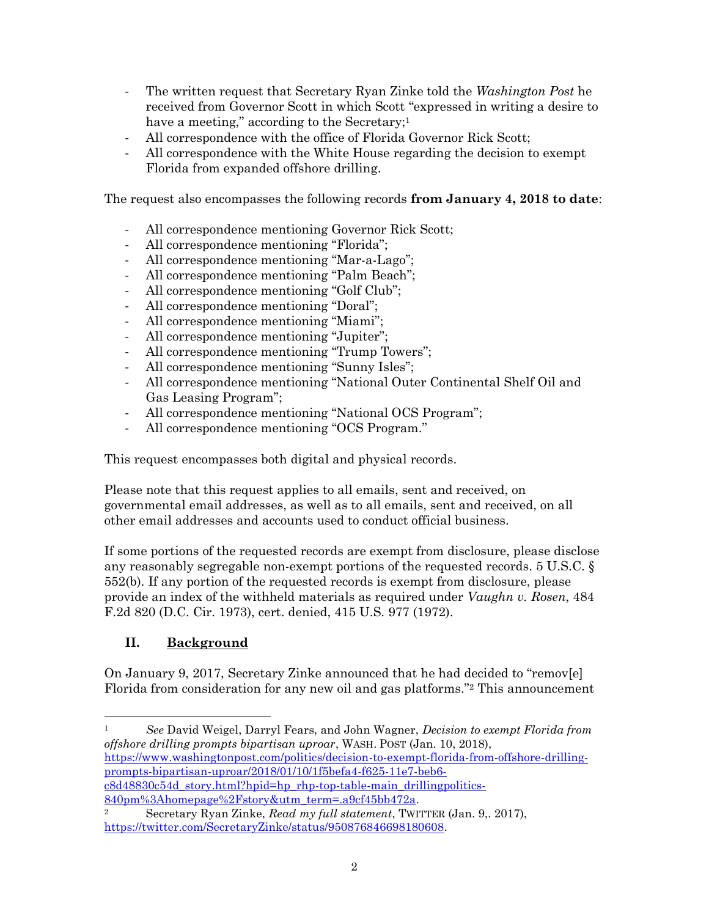- The written request that Secretary Ryan Zinke told the *Washington Post* he received from Governor Scott in which Scott "expressed in writing a desire to have a meeting," according to the Secretary;<sup>1</sup>
- All correspondence with the office of Florida Governor Rick Scott;
- All correspondence with the White House regarding the decision to exempt Florida from expanded offshore drilling.

The request also encompasses the following records **from January 4, 2018 to date**:

- All correspondence mentioning Governor Rick Scott;
- All correspondence mentioning "Florida";
- All correspondence mentioning "Mar-a-Lago";
- All correspondence mentioning "Palm Beach";
- All correspondence mentioning "Golf Club";
- All correspondence mentioning "Doral";
- All correspondence mentioning "Miami";
- All correspondence mentioning "Jupiter";
- All correspondence mentioning "Trump Towers";
- All correspondence mentioning "Sunny Isles";
- All correspondence mentioning "National Outer Continental Shelf Oil and Gas Leasing Program";
- All correspondence mentioning "National OCS Program";
- All correspondence mentioning "OCS Program."

This request encompasses both digital and physical records.

Please note that this request applies to all emails, sent and received, on governmental email addresses, as well as to all emails, sent and received, on all other email addresses and accounts used to conduct official business.

If some portions of the requested records are exempt from disclosure, please disclose any reasonably segregable non-exempt portions of the requested records. 5 U.S.C. § 552(b). If any portion of the requested records is exempt from disclosure, please provide an index of the withheld materials as required under *Vaughn v. Rosen*, 484 F.2d 820 (D.C. Cir. 1973), cert. denied, 415 U.S. 977 (1972).

# **II. Background**

On January 9, 2017, Secretary Zinke announced that he had decided to "remov[e] Florida from consideration for any new oil and gas platforms."<sup>2</sup> This announcement

 $\overline{\phantom{a}}$ <sup>1</sup> *See* David Weigel, Darryl Fears, and John Wagner, *Decision to exempt Florida from offshore drilling prompts bipartisan uproar*, WASH. POST (Jan. 10, 2018), [https://www.washingtonpost.com/politics/decision-to-exempt-florida-from-offshore-drilling](https://www.washingtonpost.com/politics/decision-to-exempt-florida-from-offshore-drilling-prompts-bipartisan-uproar/2018/01/10/1f5befa4-f625-11e7-beb6-c8d48830c54d_story.html?hpid=hp_rhp-top-table-main_drillingpolitics-840pm%3Ahomepage%2Fstory&utm_term=.a9cf45bb472a)[prompts-bipartisan-uproar/2018/01/10/1f5befa4-f625-11e7-beb6](https://www.washingtonpost.com/politics/decision-to-exempt-florida-from-offshore-drilling-prompts-bipartisan-uproar/2018/01/10/1f5befa4-f625-11e7-beb6-c8d48830c54d_story.html?hpid=hp_rhp-top-table-main_drillingpolitics-840pm%3Ahomepage%2Fstory&utm_term=.a9cf45bb472a) c8d48830c54d story.html?hpid=hp\_rhp-top-table-main\_drillingpolitics-[840pm%3Ahomepage%2Fstory&utm\\_term=.a9cf45bb472a.](https://www.washingtonpost.com/politics/decision-to-exempt-florida-from-offshore-drilling-prompts-bipartisan-uproar/2018/01/10/1f5befa4-f625-11e7-beb6-c8d48830c54d_story.html?hpid=hp_rhp-top-table-main_drillingpolitics-840pm%3Ahomepage%2Fstory&utm_term=.a9cf45bb472a)

<sup>2</sup> Secretary Ryan Zinke, *Read my full statement*, TWITTER (Jan. 9,. 2017), [https://twitter.com/SecretaryZinke/status/950876846698180608.](https://twitter.com/SecretaryZinke/status/950876846698180608)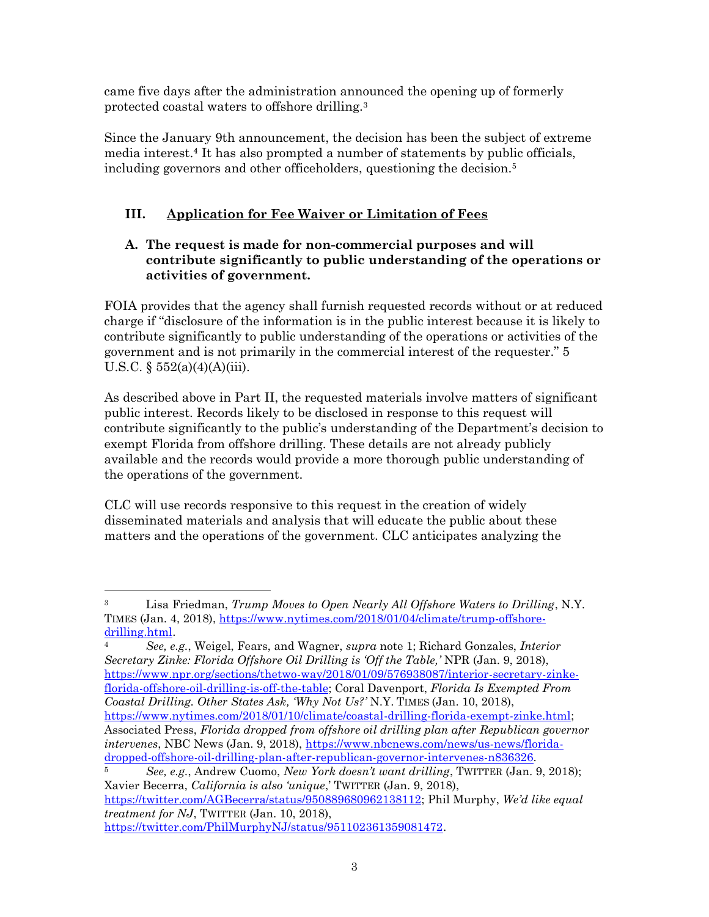came five days after the administration announced the opening up of formerly protected coastal waters to offshore drilling.<sup>3</sup>

Since the January 9th announcement, the decision has been the subject of extreme media interest.**<sup>4</sup>** It has also prompted a number of statements by public officials, including governors and other officeholders, questioning the decision.<sup>5</sup>

# **III. Application for Fee Waiver or Limitation of Fees**

#### **A. The request is made for non-commercial purposes and will contribute significantly to public understanding of the operations or activities of government.**

FOIA provides that the agency shall furnish requested records without or at reduced charge if "disclosure of the information is in the public interest because it is likely to contribute significantly to public understanding of the operations or activities of the government and is not primarily in the commercial interest of the requester." 5 U.S.C.  $\S 552(a)(4)(A)(iii)$ .

As described above in Part II, the requested materials involve matters of significant public interest. Records likely to be disclosed in response to this request will contribute significantly to the public's understanding of the Department's decision to exempt Florida from offshore drilling. These details are not already publicly available and the records would provide a more thorough public understanding of the operations of the government.

CLC will use records responsive to this request in the creation of widely disseminated materials and analysis that will educate the public about these matters and the operations of the government. CLC anticipates analyzing the

l

<sup>3</sup> Lisa Friedman, *Trump Moves to Open Nearly All Offshore Waters to Drilling*, N.Y. TIMES (Jan. 4, 2018), [https://www.nytimes.com/2018/01/04/climate/trump-offshore](https://www.nytimes.com/2018/01/04/climate/trump-offshore-drilling.html)[drilling.html.](https://www.nytimes.com/2018/01/04/climate/trump-offshore-drilling.html)

<sup>4</sup> *See, e.g.*, Weigel, Fears, and Wagner, *supra* note 1; Richard Gonzales, *Interior Secretary Zinke: Florida Offshore Oil Drilling is 'Off the Table,'* NPR (Jan. 9, 2018), [https://www.npr.org/sections/thetwo-way/2018/01/09/576938087/interior-secretary-zinke](https://www.npr.org/sections/thetwo-way/2018/01/09/576938087/interior-secretary-zinke-florida-offshore-oil-drilling-is-off-the-table)[florida-offshore-oil-drilling-is-off-the-table;](https://www.npr.org/sections/thetwo-way/2018/01/09/576938087/interior-secretary-zinke-florida-offshore-oil-drilling-is-off-the-table) Coral Davenport, *Florida Is Exempted From Coastal Drilling. Other States Ask, 'Why Not Us?'* N.Y. TIMES (Jan. 10, 2018), [https://www.nytimes.com/2018/01/10/climate/coastal-drilling-florida-exempt-zinke.html;](https://www.nytimes.com/2018/01/10/climate/coastal-drilling-florida-exempt-zinke.html) Associated Press, *Florida dropped from offshore oil drilling plan after Republican governor intervenes*, NBC News (Jan. 9, 2018), [https://www.nbcnews.com/news/us-news/florida](https://www.nbcnews.com/news/us-news/florida-dropped-offshore-oil-drilling-plan-after-republican-governor-intervenes-n836326)[dropped-offshore-oil-drilling-plan-after-republican-governor-intervenes-n836326.](https://www.nbcnews.com/news/us-news/florida-dropped-offshore-oil-drilling-plan-after-republican-governor-intervenes-n836326)

<sup>5</sup> *See, e.g.*, Andrew Cuomo, *New York doesn't want drilling*, TWITTER (Jan. 9, 2018); Xavier Becerra, *California is also 'unique*,' TWITTER (Jan. 9, 2018), [https://twitter.com/AGBecerra/status/950889680962138112;](https://twitter.com/AGBecerra/status/950889680962138112) Phil Murphy, *We'd like equal treatment for NJ*, TWITTER (Jan. 10, 2018), [https://twitter.com/PhilMurphyNJ/status/951102361359081472.](https://twitter.com/PhilMurphyNJ/status/951102361359081472)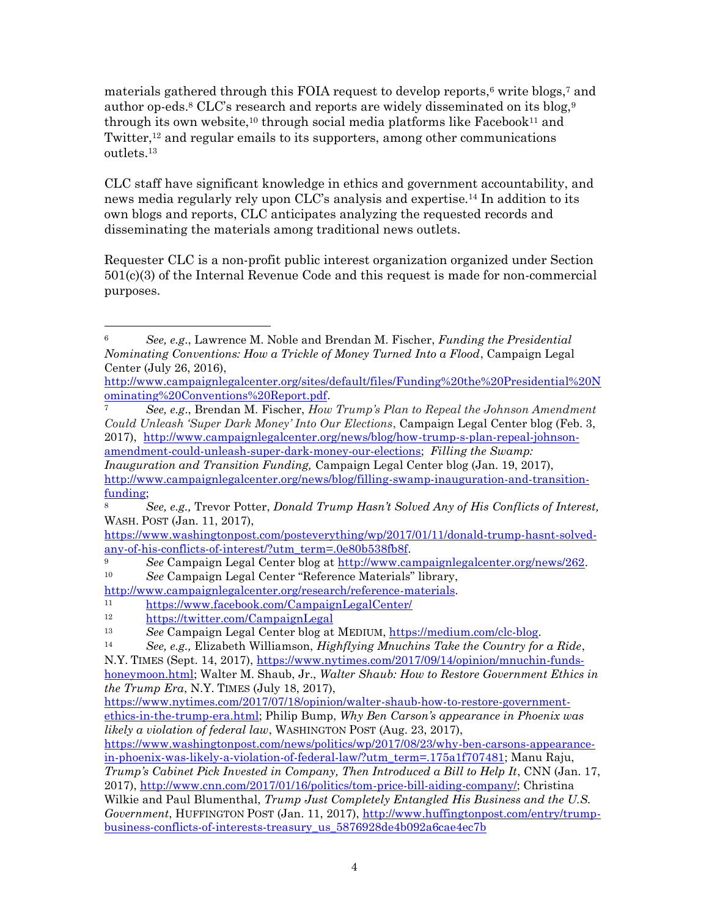materials gathered through this FOIA request to develop reports,<sup>6</sup> write blogs,<sup>7</sup> and author op-eds.<sup>8</sup> CLC's research and reports are widely disseminated on its blog,<sup>9</sup> through its own website,<sup>10</sup> through social media platforms like Facebook<sup>11</sup> and Twitter,<sup>12</sup> and regular emails to its supporters, among other communications outlets.<sup>13</sup>

CLC staff have significant knowledge in ethics and government accountability, and news media regularly rely upon CLC's analysis and expertise.<sup>14</sup> In addition to its own blogs and reports, CLC anticipates analyzing the requested records and disseminating the materials among traditional news outlets.

Requester CLC is a non-profit public interest organization organized under Section 501(c)(3) of the Internal Revenue Code and this request is made for non-commercial purposes.

*Inauguration and Transition Funding,* Campaign Legal Center blog (Jan. 19, 2017), [http://www.campaignlegalcenter.org/news/blog/filling-swamp-inauguration-and-transition](http://www.campaignlegalcenter.org/news/blog/filling-swamp-inauguration-and-transition-funding)[funding;](http://www.campaignlegalcenter.org/news/blog/filling-swamp-inauguration-and-transition-funding)

l

<sup>6</sup> *See, e.g*., Lawrence M. Noble and Brendan M. Fischer, *Funding the Presidential Nominating Conventions: How a Trickle of Money Turned Into a Flood*, Campaign Legal Center (July 26, 2016),

[http://www.campaignlegalcenter.org/sites/default/files/Funding%20the%20Presidential%20N](http://www.campaignlegalcenter.org/sites/default/files/Funding%20the%20Presidential%20Nominating%20Conventions%20Report.pdf) [ominating%20Conventions%20Report.pdf.](http://www.campaignlegalcenter.org/sites/default/files/Funding%20the%20Presidential%20Nominating%20Conventions%20Report.pdf)

<sup>7</sup> *See, e.g*., Brendan M. Fischer, *How Trump's Plan to Repeal the Johnson Amendment Could Unleash 'Super Dark Money' Into Our Elections*, Campaign Legal Center blog (Feb. 3, 2017), [http://www.campaignlegalcenter.org/news/blog/how-trump-s-plan-repeal-johnson](http://www.campaignlegalcenter.org/news/blog/how-trump-s-plan-repeal-johnson-amendment-could-unleash-super-dark-money-our-elections)[amendment-could-unleash-super-dark-money-our-elections;](http://www.campaignlegalcenter.org/news/blog/how-trump-s-plan-repeal-johnson-amendment-could-unleash-super-dark-money-our-elections) *Filling the Swamp:* 

<sup>8</sup> *See, e.g.,* Trevor Potter, *Donald Trump Hasn't Solved Any of His Conflicts of Interest,*  WASH. POST (Jan. 11, 2017),

[https://www.washingtonpost.com/posteverything/wp/2017/01/11/donald-trump-hasnt-solved](https://www.washingtonpost.com/posteverything/wp/2017/01/11/donald-trump-hasnt-solved-any-of-his-conflicts-of-interest/?utm_term=.0e80b538fb8f)[any-of-his-conflicts-of-interest/?utm\\_term=.0e80b538fb8f.](https://www.washingtonpost.com/posteverything/wp/2017/01/11/donald-trump-hasnt-solved-any-of-his-conflicts-of-interest/?utm_term=.0e80b538fb8f)

<sup>9</sup> *See* Campaign Legal Center blog at [http://www.campaignlegalcenter.org/news/262.](http://www.campaignlegalcenter.org/news/262) <sup>10</sup> *See* Campaign Legal Center "Reference Materials" library,

[http://www.campaignlegalcenter.org/research/reference-materials.](http://www.campaignlegalcenter.org/research/reference-materials)

<sup>11</sup> <https://www.facebook.com/CampaignLegalCenter/>

<sup>12</sup> <https://twitter.com/CampaignLegal>

<sup>13</sup> *See* Campaign Legal Center blog at MEDIUM, [https://medium.com/clc-blog.](https://medium.com/clc-blog)

<sup>14</sup> *See, e.g.,* Elizabeth Williamson, *Highflying Mnuchins Take the Country for a Ride*,

N.Y. TIMES (Sept. 14, 2017), [https://www.nytimes.com/2017/09/14/opinion/mnuchin-funds](https://www.nytimes.com/2017/09/14/opinion/mnuchin-funds-honeymoon.html)[honeymoon.html;](https://www.nytimes.com/2017/09/14/opinion/mnuchin-funds-honeymoon.html) Walter M. Shaub, Jr., *Walter Shaub: How to Restore Government Ethics in the Trump Era*, N.Y. TIMES (July 18, 2017),

[https://www.nytimes.com/2017/07/18/opinion/walter-shaub-how-to-restore-government](https://www.nytimes.com/2017/07/18/opinion/walter-shaub-how-to-restore-government-ethics-in-the-trump-era.html)[ethics-in-the-trump-era.html;](https://www.nytimes.com/2017/07/18/opinion/walter-shaub-how-to-restore-government-ethics-in-the-trump-era.html) Philip Bump, *Why Ben Carson's appearance in Phoenix was likely a violation of federal law*, WASHINGTON POST (Aug. 23, 2017),

[https://www.washingtonpost.com/news/politics/wp/2017/08/23/why-ben-carsons-appearance](https://www.washingtonpost.com/news/politics/wp/2017/08/23/why-ben-carsons-appearance-in-phoenix-was-likely-a-violation-of-federal-law/?utm_term=.175a1f707481)[in-phoenix-was-likely-a-violation-of-federal-law/?utm\\_term=.175a1f707481;](https://www.washingtonpost.com/news/politics/wp/2017/08/23/why-ben-carsons-appearance-in-phoenix-was-likely-a-violation-of-federal-law/?utm_term=.175a1f707481) Manu Raju,

*Trump's Cabinet Pick Invested in Company, Then Introduced a Bill to Help It, CNN (Jan. 17,* 2017), [http://www.cnn.com/2017/01/16/politics/tom-price-bill-aiding-company/;](http://www.cnn.com/2017/01/16/politics/tom-price-bill-aiding-company/) Christina Wilkie and Paul Blumenthal, *Trump Just Completely Entangled His Business and the U.S.* 

*Government*, HUFFINGTON POST (Jan. 11, 2017), [http://www.huffingtonpost.com/entry/trump](http://www.huffingtonpost.com/entry/trump-business-conflicts-of-interests-treasury_us_5876928de4b092a6cae4ec7b)[business-conflicts-of-interests-treasury\\_us\\_5876928de4b092a6cae4ec7b](http://www.huffingtonpost.com/entry/trump-business-conflicts-of-interests-treasury_us_5876928de4b092a6cae4ec7b)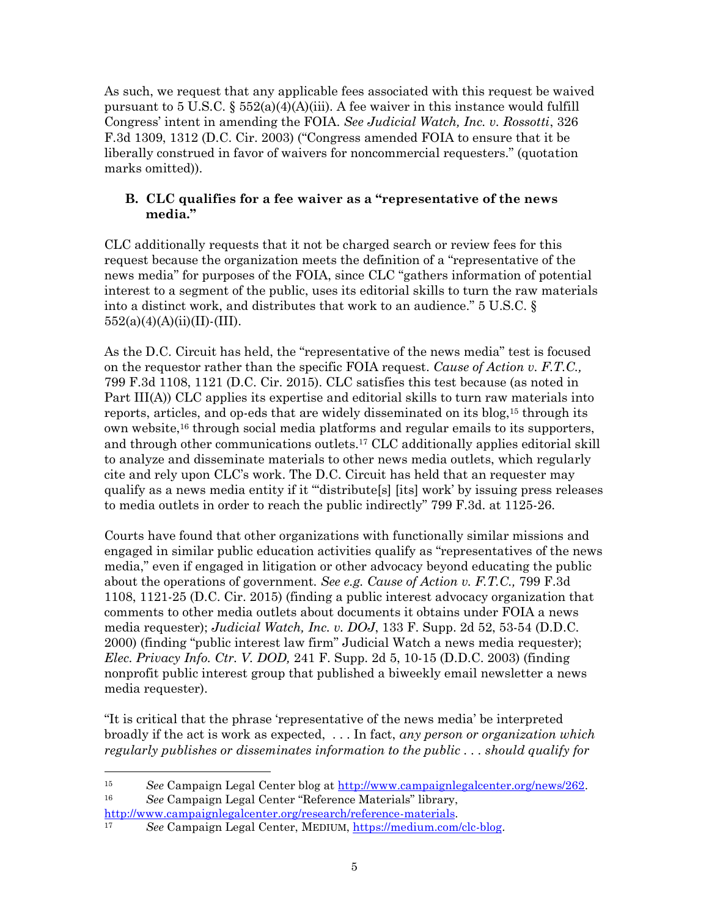As such, we request that any applicable fees associated with this request be waived pursuant to 5 U.S.C. §  $552(a)(4)(A)(iii)$ . A fee waiver in this instance would fulfill Congress' intent in amending the FOIA. *See Judicial Watch, Inc. v. Rossotti*, 326 F.3d 1309, 1312 (D.C. Cir. 2003) ("Congress amended FOIA to ensure that it be liberally construed in favor of waivers for noncommercial requesters." (quotation marks omitted)).

#### **B. CLC qualifies for a fee waiver as a "representative of the news media."**

CLC additionally requests that it not be charged search or review fees for this request because the organization meets the definition of a "representative of the news media" for purposes of the FOIA, since CLC "gathers information of potential interest to a segment of the public, uses its editorial skills to turn the raw materials into a distinct work, and distributes that work to an audience." 5 U.S.C. §  $552(a)(4)(A)(ii)(II)$ -(III).

As the D.C. Circuit has held, the "representative of the news media" test is focused on the requestor rather than the specific FOIA request. *Cause of Action v. F.T.C.,* 799 F.3d 1108, 1121 (D.C. Cir. 2015). CLC satisfies this test because (as noted in Part III(A)) CLC applies its expertise and editorial skills to turn raw materials into reports, articles, and op-eds that are widely disseminated on its blog,<sup>15</sup> through its own website,<sup>16</sup> through social media platforms and regular emails to its supporters, and through other communications outlets.<sup>17</sup> CLC additionally applies editorial skill to analyze and disseminate materials to other news media outlets, which regularly cite and rely upon CLC's work. The D.C. Circuit has held that an requester may qualify as a news media entity if it "'distribute[s] [its] work' by issuing press releases to media outlets in order to reach the public indirectly" 799 F.3d. at 1125-26.

Courts have found that other organizations with functionally similar missions and engaged in similar public education activities qualify as "representatives of the news media," even if engaged in litigation or other advocacy beyond educating the public about the operations of government. *See e.g. Cause of Action v. F.T.C.,* 799 F.3d 1108, 1121-25 (D.C. Cir. 2015) (finding a public interest advocacy organization that comments to other media outlets about documents it obtains under FOIA a news media requester); *Judicial Watch, Inc. v. DOJ*, 133 F. Supp. 2d 52, 53-54 (D.D.C. 2000) (finding "public interest law firm" Judicial Watch a news media requester); *Elec. Privacy Info. Ctr. V. DOD,* 241 F. Supp. 2d 5, 10-15 (D.D.C. 2003) (finding nonprofit public interest group that published a biweekly email newsletter a news media requester).

"It is critical that the phrase 'representative of the news media' be interpreted broadly if the act is work as expected, . . . In fact, *any person or organization which regularly publishes or disseminates information to the public . . . should qualify for*

l

<sup>15</sup> *See* Campaign Legal Center blog at [http://www.campaignlegalcenter.org/news/262.](http://www.campaignlegalcenter.org/news/262) <sup>16</sup> *See* Campaign Legal Center "Reference Materials" library, [http://www.campaignlegalcenter.org/research/reference-materials.](http://www.campaignlegalcenter.org/research/reference-materials)

<sup>17</sup> *See* Campaign Legal Center, MEDIUM, [https://medium.com/clc-blog.](https://medium.com/clc-blog)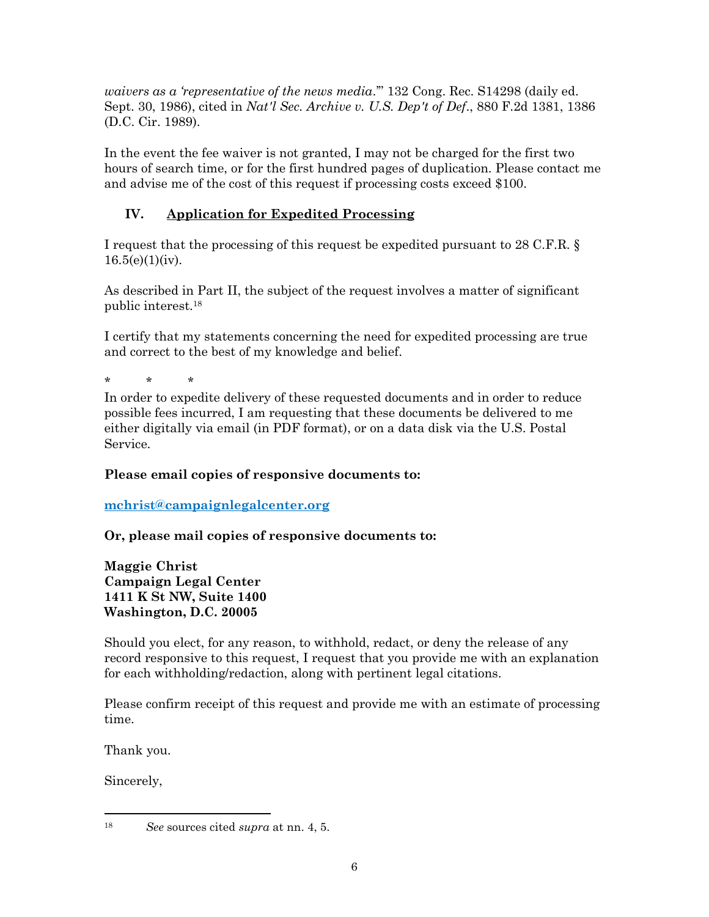*waivers as a 'representative of the news media*.'" 132 Cong. Rec. S14298 (daily ed. Sept. 30, 1986), cited in *Nat'l Sec. Archive v. U.S. Dep't of Def*., 880 F.2d 1381, 1386 (D.C. Cir. 1989).

In the event the fee waiver is not granted, I may not be charged for the first two hours of search time, or for the first hundred pages of duplication. Please contact me and advise me of the cost of this request if processing costs exceed \$100.

## **IV. Application for Expedited Processing**

I request that the processing of this request be expedited pursuant to 28 C.F.R. §  $16.5(e)(1)(iv)$ .

As described in Part II, the subject of the request involves a matter of significant public interest.<sup>18</sup>

I certify that my statements concerning the need for expedited processing are true and correct to the best of my knowledge and belief.

\* \* \*

In order to expedite delivery of these requested documents and in order to reduce possible fees incurred, I am requesting that these documents be delivered to me either digitally via email (in PDF format), or on a data disk via the U.S. Postal Service.

#### **Please email copies of responsive documents to:**

**[mchrist@campaignlegalcenter.org](mailto:mchrist@campaignlegalcenter.org)**

**Or, please mail copies of responsive documents to:** 

**Maggie Christ Campaign Legal Center 1411 K St NW, Suite 1400 Washington, D.C. 20005**

Should you elect, for any reason, to withhold, redact, or deny the release of any record responsive to this request, I request that you provide me with an explanation for each withholding/redaction, along with pertinent legal citations.

Please confirm receipt of this request and provide me with an estimate of processing time.

Thank you.

Sincerely,

 $\overline{\phantom{a}}$ 

<sup>18</sup> *See* sources cited *supra* at nn. 4, 5.